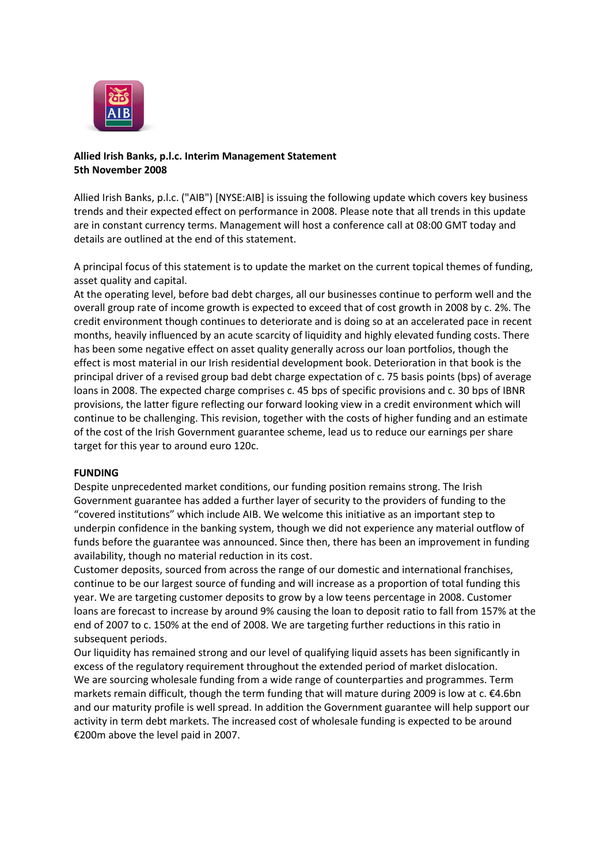

# **Allied Irish Banks, p.l.c. Interim Management Statement 5th November 2008**

Allied Irish Banks, p.l.c. ("AIB") [NYSE:AIB] is issuing the following update which covers key business trends and their expected effect on performance in 2008. Please note that all trends in this update are in constant currency terms. Management will host a conference call at 08:00 GMT today and details are outlined at the end of this statement.

A principal focus of this statement is to update the market on the current topical themes of funding, asset quality and capital.

At the operating level, before bad debt charges, all our businesses continue to perform well and the overall group rate of income growth is expected to exceed that of cost growth in 2008 by c. 2%. The credit environment though continues to deteriorate and is doing so at an accelerated pace in recent months, heavily influenced by an acute scarcity of liquidity and highly elevated funding costs. There has been some negative effect on asset quality generally across our loan portfolios, though the effect is most material in our Irish residential development book. Deterioration in that book is the principal driver of a revised group bad debt charge expectation of c. 75 basis points (bps) of average loans in 2008. The expected charge comprises c. 45 bps of specific provisions and c. 30 bps of IBNR provisions, the latter figure reflecting our forward looking view in a credit environment which will continue to be challenging. This revision, together with the costs of higher funding and an estimate of the cost of the Irish Government guarantee scheme, lead us to reduce our earnings per share target for this year to around euro 120c.

## **FUNDING**

Despite unprecedented market conditions, our funding position remains strong. The Irish Government guarantee has added a further layer of security to the providers of funding to the "covered institutions" which include AIB. We welcome this initiative as an important step to underpin confidence in the banking system, though we did not experience any material outflow of funds before the guarantee was announced. Since then, there has been an improvement in funding availability, though no material reduction in its cost.

Customer deposits, sourced from across the range of our domestic and international franchises, continue to be our largest source of funding and will increase as a proportion of total funding this year. We are targeting customer deposits to grow by a low teens percentage in 2008. Customer loans are forecast to increase by around 9% causing the loan to deposit ratio to fall from 157% at the end of 2007 to c. 150% at the end of 2008. We are targeting further reductions in this ratio in subsequent periods.

Our liquidity has remained strong and our level of qualifying liquid assets has been significantly in excess of the regulatory requirement throughout the extended period of market dislocation. We are sourcing wholesale funding from a wide range of counterparties and programmes. Term markets remain difficult, though the term funding that will mature during 2009 is low at c. €4.6bn and our maturity profile is well spread. In addition the Government guarantee will help support our activity in term debt markets. The increased cost of wholesale funding is expected to be around €200m above the level paid in 2007.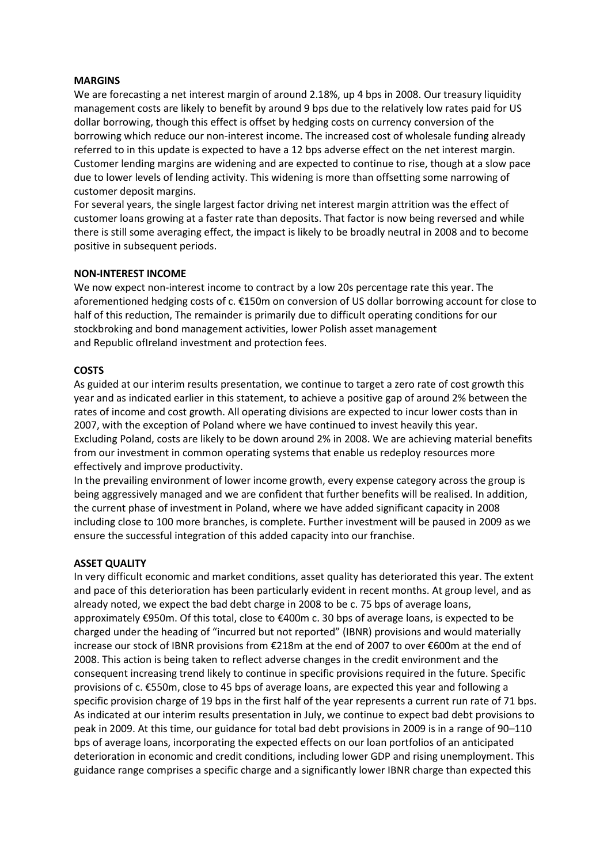## **MARGINS**

We are forecasting a net interest margin of around 2.18%, up 4 bps in 2008. Our treasury liquidity management costs are likely to benefit by around 9 bps due to the relatively low rates paid for US dollar borrowing, though this effect is offset by hedging costs on currency conversion of the borrowing which reduce our non-interest income. The increased cost of wholesale funding already referred to in this update is expected to have a 12 bps adverse effect on the net interest margin. Customer lending margins are widening and are expected to continue to rise, though at a slow pace due to lower levels of lending activity. This widening is more than offsetting some narrowing of customer deposit margins.

For several years, the single largest factor driving net interest margin attrition was the effect of customer loans growing at a faster rate than deposits. That factor is now being reversed and while there is still some averaging effect, the impact is likely to be broadly neutral in 2008 and to become positive in subsequent periods.

### **NON-INTEREST INCOME**

We now expect non-interest income to contract by a low 20s percentage rate this year. The aforementioned hedging costs of c. €150m on conversion of US dollar borrowing account for close to half of this reduction, The remainder is primarily due to difficult operating conditions for our stockbroking and bond management activities, lower Polish asset management and Republic ofIreland investment and protection fees.

### **COSTS**

As guided at our interim results presentation, we continue to target a zero rate of cost growth this year and as indicated earlier in this statement, to achieve a positive gap of around 2% between the rates of income and cost growth. All operating divisions are expected to incur lower costs than in 2007, with the exception of Poland where we have continued to invest heavily this year. Excluding Poland, costs are likely to be down around 2% in 2008. We are achieving material benefits from our investment in common operating systems that enable us redeploy resources more effectively and improve productivity.

In the prevailing environment of lower income growth, every expense category across the group is being aggressively managed and we are confident that further benefits will be realised. In addition, the current phase of investment in Poland, where we have added significant capacity in 2008 including close to 100 more branches, is complete. Further investment will be paused in 2009 as we ensure the successful integration of this added capacity into our franchise.

### **ASSET QUALITY**

In very difficult economic and market conditions, asset quality has deteriorated this year. The extent and pace of this deterioration has been particularly evident in recent months. At group level, and as already noted, we expect the bad debt charge in 2008 to be c. 75 bps of average loans, approximately €950m. Of this total, close to €400m c. 30 bps of average loans, is expected to be charged under the heading of "incurred but not reported" (IBNR) provisions and would materially increase our stock of IBNR provisions from €218m at the end of 2007 to over €600m at the end of 2008. This action is being taken to reflect adverse changes in the credit environment and the consequent increasing trend likely to continue in specific provisions required in the future. Specific provisions of c. €550m, close to 45 bps of average loans, are expected this year and following a specific provision charge of 19 bps in the first half of the year represents a current run rate of 71 bps. As indicated at our interim results presentation in July, we continue to expect bad debt provisions to peak in 2009. At this time, our guidance for total bad debt provisions in 2009 is in a range of 90–110 bps of average loans, incorporating the expected effects on our loan portfolios of an anticipated deterioration in economic and credit conditions, including lower GDP and rising unemployment. This guidance range comprises a specific charge and a significantly lower IBNR charge than expected this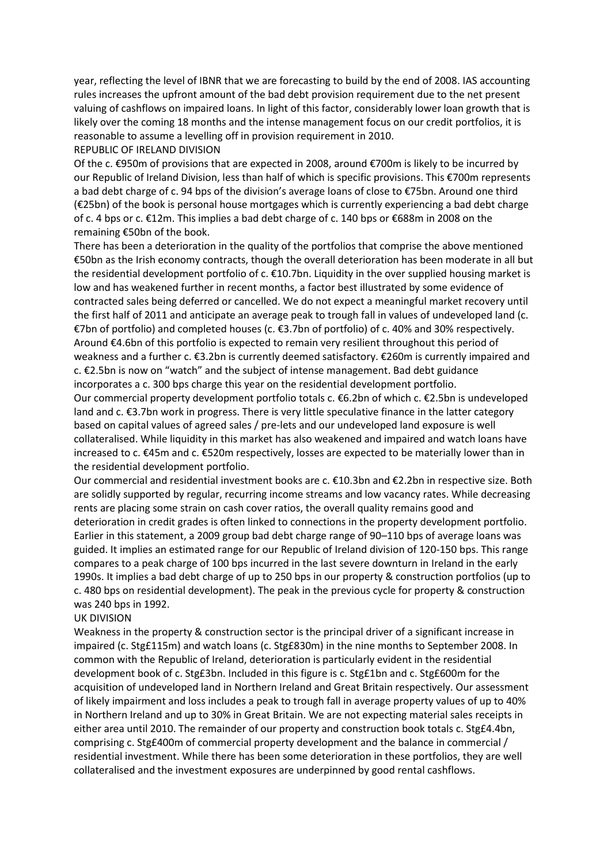year, reflecting the level of IBNR that we are forecasting to build by the end of 2008. IAS accounting rules increases the upfront amount of the bad debt provision requirement due to the net present valuing of cashflows on impaired loans. In light of this factor, considerably lower loan growth that is likely over the coming 18 months and the intense management focus on our credit portfolios, it is reasonable to assume a levelling off in provision requirement in 2010. REPUBLIC OF IRELAND DIVISION

Of the c. €950m of provisions that are expected in 2008, around €700m is likely to be incurred by our Republic of Ireland Division, less than half of which is specific provisions. This €700m represents a bad debt charge of c. 94 bps of the division's average loans of close to €75bn. Around one third (€25bn) of the book is personal house mortgages which is currently experiencing a bad debt charge of c. 4 bps or c. €12m. This implies a bad debt charge of c. 140 bps or €688m in 2008 on the remaining €50bn of the book.

There has been a deterioration in the quality of the portfolios that comprise the above mentioned €50bn as the Irish economy contracts, though the overall deterioration has been moderate in all but the residential development portfolio of c. €10.7bn. Liquidity in the over supplied housing market is low and has weakened further in recent months, a factor best illustrated by some evidence of contracted sales being deferred or cancelled. We do not expect a meaningful market recovery until the first half of 2011 and anticipate an average peak to trough fall in values of undeveloped land (c. €7bn of portfolio) and completed houses (c. €3.7bn of portfolio) of c. 40% and 30% respectively. Around €4.6bn of this portfolio is expected to remain very resilient throughout this period of weakness and a further c. €3.2bn is currently deemed satisfactory. €260m is currently impaired and c. €2.5bn is now on "watch" and the subject of intense management. Bad debt guidance incorporates a c. 300 bps charge this year on the residential development portfolio.

Our commercial property development portfolio totals c. €6.2bn of which c. €2.5bn is undeveloped land and c. €3.7bn work in progress. There is very little speculative finance in the latter category based on capital values of agreed sales / pre-lets and our undeveloped land exposure is well collateralised. While liquidity in this market has also weakened and impaired and watch loans have increased to c. €45m and c. €520m respectively, losses are expected to be materially lower than in the residential development portfolio.

Our commercial and residential investment books are c. €10.3bn and €2.2bn in respective size. Both are solidly supported by regular, recurring income streams and low vacancy rates. While decreasing rents are placing some strain on cash cover ratios, the overall quality remains good and deterioration in credit grades is often linked to connections in the property development portfolio. Earlier in this statement, a 2009 group bad debt charge range of 90–110 bps of average loans was guided. It implies an estimated range for our Republic of Ireland division of 120-150 bps. This range compares to a peak charge of 100 bps incurred in the last severe downturn in Ireland in the early 1990s. It implies a bad debt charge of up to 250 bps in our property & construction portfolios (up to c. 480 bps on residential development). The peak in the previous cycle for property & construction was 240 bps in 1992.

### UK DIVISION

Weakness in the property & construction sector is the principal driver of a significant increase in impaired (c. Stg£115m) and watch loans (c. Stg£830m) in the nine months to September 2008. In common with the Republic of Ireland, deterioration is particularly evident in the residential development book of c. Stg£3bn. Included in this figure is c. Stg£1bn and c. Stg£600m for the acquisition of undeveloped land in Northern Ireland and Great Britain respectively. Our assessment of likely impairment and loss includes a peak to trough fall in average property values of up to 40% in Northern Ireland and up to 30% in Great Britain. We are not expecting material sales receipts in either area until 2010. The remainder of our property and construction book totals c. Stg£4.4bn, comprising c. Stg£400m of commercial property development and the balance in commercial / residential investment. While there has been some deterioration in these portfolios, they are well collateralised and the investment exposures are underpinned by good rental cashflows.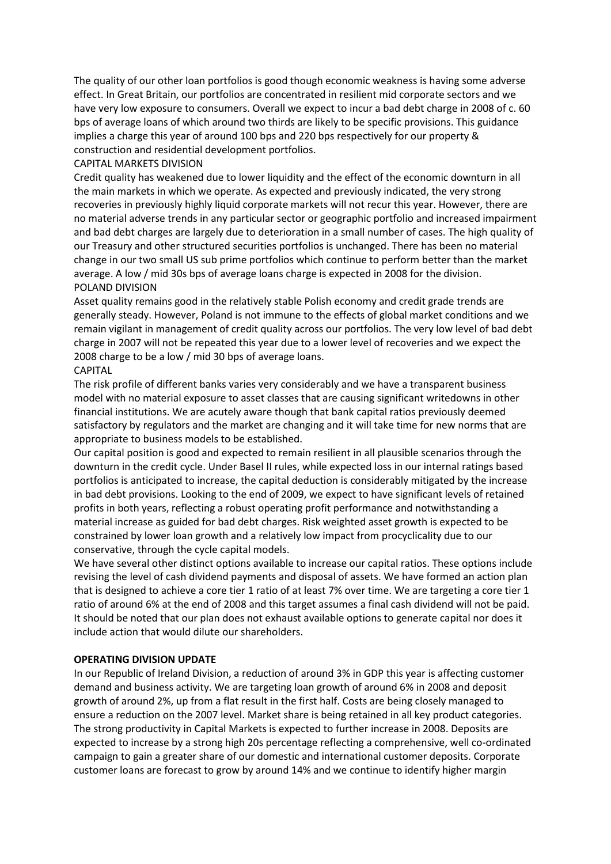The quality of our other loan portfolios is good though economic weakness is having some adverse effect. In Great Britain, our portfolios are concentrated in resilient mid corporate sectors and we have very low exposure to consumers. Overall we expect to incur a bad debt charge in 2008 of c. 60 bps of average loans of which around two thirds are likely to be specific provisions. This guidance implies a charge this year of around 100 bps and 220 bps respectively for our property & construction and residential development portfolios.

## CAPITAL MARKETS DIVISION

Credit quality has weakened due to lower liquidity and the effect of the economic downturn in all the main markets in which we operate. As expected and previously indicated, the very strong recoveries in previously highly liquid corporate markets will not recur this year. However, there are no material adverse trends in any particular sector or geographic portfolio and increased impairment and bad debt charges are largely due to deterioration in a small number of cases. The high quality of our Treasury and other structured securities portfolios is unchanged. There has been no material change in our two small US sub prime portfolios which continue to perform better than the market average. A low / mid 30s bps of average loans charge is expected in 2008 for the division. POLAND DIVISION

Asset quality remains good in the relatively stable Polish economy and credit grade trends are generally steady. However, Poland is not immune to the effects of global market conditions and we remain vigilant in management of credit quality across our portfolios. The very low level of bad debt charge in 2007 will not be repeated this year due to a lower level of recoveries and we expect the 2008 charge to be a low / mid 30 bps of average loans.

## CAPITAL

The risk profile of different banks varies very considerably and we have a transparent business model with no material exposure to asset classes that are causing significant writedowns in other financial institutions. We are acutely aware though that bank capital ratios previously deemed satisfactory by regulators and the market are changing and it will take time for new norms that are appropriate to business models to be established.

Our capital position is good and expected to remain resilient in all plausible scenarios through the downturn in the credit cycle. Under Basel II rules, while expected loss in our internal ratings based portfolios is anticipated to increase, the capital deduction is considerably mitigated by the increase in bad debt provisions. Looking to the end of 2009, we expect to have significant levels of retained profits in both years, reflecting a robust operating profit performance and notwithstanding a material increase as guided for bad debt charges. Risk weighted asset growth is expected to be constrained by lower loan growth and a relatively low impact from procyclicality due to our conservative, through the cycle capital models.

We have several other distinct options available to increase our capital ratios. These options include revising the level of cash dividend payments and disposal of assets. We have formed an action plan that is designed to achieve a core tier 1 ratio of at least 7% over time. We are targeting a core tier 1 ratio of around 6% at the end of 2008 and this target assumes a final cash dividend will not be paid. It should be noted that our plan does not exhaust available options to generate capital nor does it include action that would dilute our shareholders.

# **OPERATING DIVISION UPDATE**

In our Republic of Ireland Division, a reduction of around 3% in GDP this year is affecting customer demand and business activity. We are targeting loan growth of around 6% in 2008 and deposit growth of around 2%, up from a flat result in the first half. Costs are being closely managed to ensure a reduction on the 2007 level. Market share is being retained in all key product categories. The strong productivity in Capital Markets is expected to further increase in 2008. Deposits are expected to increase by a strong high 20s percentage reflecting a comprehensive, well co-ordinated campaign to gain a greater share of our domestic and international customer deposits. Corporate customer loans are forecast to grow by around 14% and we continue to identify higher margin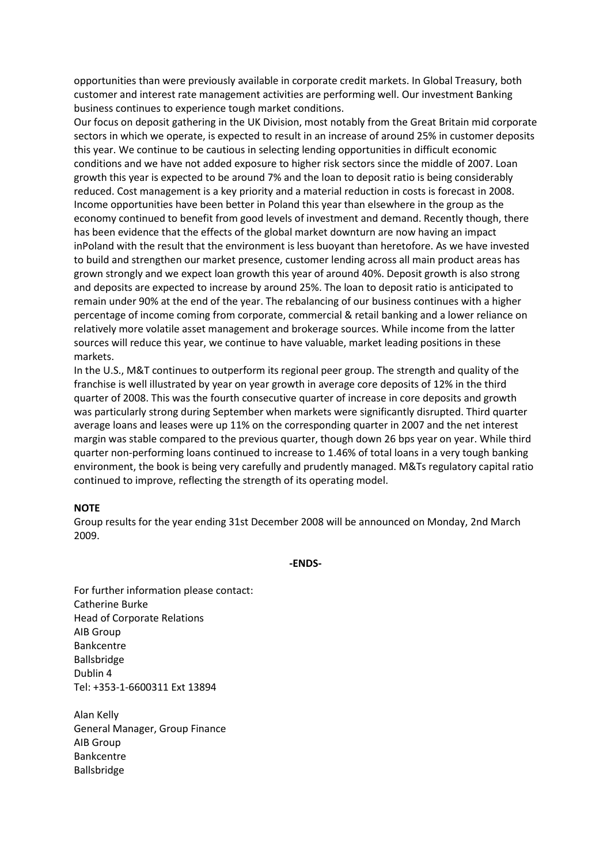opportunities than were previously available in corporate credit markets. In Global Treasury, both customer and interest rate management activities are performing well. Our investment Banking business continues to experience tough market conditions.

Our focus on deposit gathering in the UK Division, most notably from the Great Britain mid corporate sectors in which we operate, is expected to result in an increase of around 25% in customer deposits this year. We continue to be cautious in selecting lending opportunities in difficult economic conditions and we have not added exposure to higher risk sectors since the middle of 2007. Loan growth this year is expected to be around 7% and the loan to deposit ratio is being considerably reduced. Cost management is a key priority and a material reduction in costs is forecast in 2008. Income opportunities have been better in Poland this year than elsewhere in the group as the economy continued to benefit from good levels of investment and demand. Recently though, there has been evidence that the effects of the global market downturn are now having an impact inPoland with the result that the environment is less buoyant than heretofore. As we have invested to build and strengthen our market presence, customer lending across all main product areas has grown strongly and we expect loan growth this year of around 40%. Deposit growth is also strong and deposits are expected to increase by around 25%. The loan to deposit ratio is anticipated to remain under 90% at the end of the year. The rebalancing of our business continues with a higher percentage of income coming from corporate, commercial & retail banking and a lower reliance on relatively more volatile asset management and brokerage sources. While income from the latter sources will reduce this year, we continue to have valuable, market leading positions in these markets.

In the U.S., M&T continues to outperform its regional peer group. The strength and quality of the franchise is well illustrated by year on year growth in average core deposits of 12% in the third quarter of 2008. This was the fourth consecutive quarter of increase in core deposits and growth was particularly strong during September when markets were significantly disrupted. Third quarter average loans and leases were up 11% on the corresponding quarter in 2007 and the net interest margin was stable compared to the previous quarter, though down 26 bps year on year. While third quarter non-performing loans continued to increase to 1.46% of total loans in a very tough banking environment, the book is being very carefully and prudently managed. M&Ts regulatory capital ratio continued to improve, reflecting the strength of its operating model.

### **NOTE**

Group results for the year ending 31st December 2008 will be announced on Monday, 2nd March 2009.

**-ENDS-**

For further information please contact: Catherine Burke Head of Corporate Relations AIB Group Bankcentre Ballsbridge Dublin 4 Tel: +353-1-6600311 Ext 13894

Alan Kelly General Manager, Group Finance AIB Group Bankcentre Ballsbridge